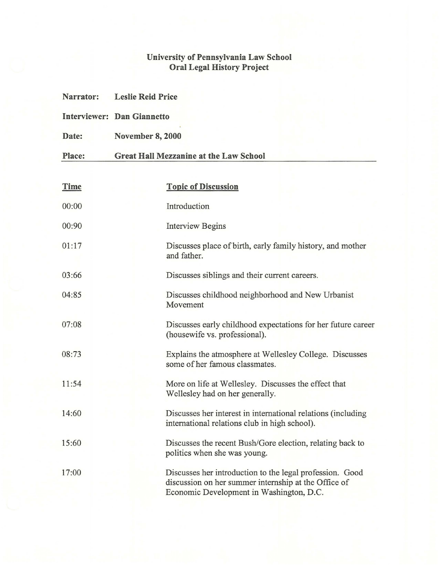## **University of Pennsylvania Law School Oral Legal History Project**

| Narrator: | <b>Leslie Reid Price</b><br><b>Interviewer: Dan Giannetto</b> |                                                                                                                                                              |  |
|-----------|---------------------------------------------------------------|--------------------------------------------------------------------------------------------------------------------------------------------------------------|--|
|           |                                                               |                                                                                                                                                              |  |
| Date:     | <b>November 8, 2000</b>                                       |                                                                                                                                                              |  |
| Place:    | <b>Great Hall Mezzanine at the Law School</b>                 |                                                                                                                                                              |  |
|           |                                                               |                                                                                                                                                              |  |
| Time      |                                                               | <b>Topic of Discussion</b>                                                                                                                                   |  |
| 00:00     |                                                               | Introduction                                                                                                                                                 |  |
| 00:90     |                                                               | <b>Interview Begins</b>                                                                                                                                      |  |
| 01:17     |                                                               | Discusses place of birth, early family history, and mother<br>and father.                                                                                    |  |
| 03:66     |                                                               | Discusses siblings and their current careers.                                                                                                                |  |
| 04:85     |                                                               | Discusses childhood neighborhood and New Urbanist<br>Movement                                                                                                |  |
| 07:08     |                                                               | Discusses early childhood expectations for her future career<br>(housewife vs. professional).                                                                |  |
| 08:73     |                                                               | Explains the atmosphere at Wellesley College. Discusses<br>some of her famous classmates.                                                                    |  |
| 11:54     |                                                               | More on life at Wellesley. Discusses the effect that<br>Wellesley had on her generally.                                                                      |  |
| 14:60     |                                                               | Discusses her interest in international relations (including<br>international relations club in high school).                                                |  |
| 15:60     |                                                               | Discusses the recent Bush/Gore election, relating back to<br>politics when she was young.                                                                    |  |
| 17:00     |                                                               | Discusses her introduction to the legal profession. Good<br>discussion on her summer internship at the Office of<br>Economic Development in Washington, D.C. |  |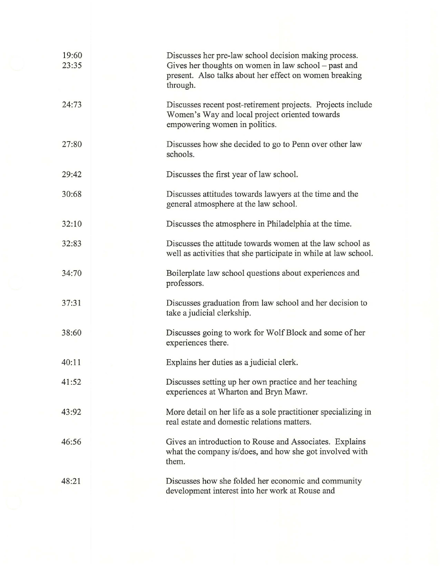| 19:60<br>23:35 |  | Discusses her pre-law school decision making process.<br>Gives her thoughts on women in law school – past and<br>present. Also talks about her effect on women breaking<br>through. |
|----------------|--|-------------------------------------------------------------------------------------------------------------------------------------------------------------------------------------|
| 24:73          |  | Discusses recent post-retirement projects. Projects include<br>Women's Way and local project oriented towards<br>empowering women in politics.                                      |
| 27:80          |  | Discusses how she decided to go to Penn over other law<br>schools.                                                                                                                  |
| 29:42          |  | Discusses the first year of law school.                                                                                                                                             |
| 30:68          |  | Discusses attitudes towards lawyers at the time and the<br>general atmosphere at the law school.                                                                                    |
| 32:10          |  | Discusses the atmosphere in Philadelphia at the time.                                                                                                                               |
| 32:83          |  | Discusses the attitude towards women at the law school as<br>well as activities that she participate in while at law school.                                                        |
| 34:70          |  | Boilerplate law school questions about experiences and<br>professors.                                                                                                               |
| 37:31          |  | Discusses graduation from law school and her decision to<br>take a judicial clerkship.                                                                                              |
| 38:60          |  | Discusses going to work for Wolf Block and some of her<br>experiences there.                                                                                                        |
| 40:11          |  | Explains her duties as a judicial clerk.                                                                                                                                            |
| 41:52          |  | Discusses setting up her own practice and her teaching<br>experiences at Wharton and Bryn Mawr.                                                                                     |
| 43:92          |  | More detail on her life as a sole practitioner specializing in<br>real estate and domestic relations matters.                                                                       |
| 46:56          |  | Gives an introduction to Rouse and Associates. Explains<br>what the company is/does, and how she got involved with<br>them.                                                         |
| 48:21          |  | Discusses how she folded her economic and community<br>development interest into her work at Rouse and                                                                              |